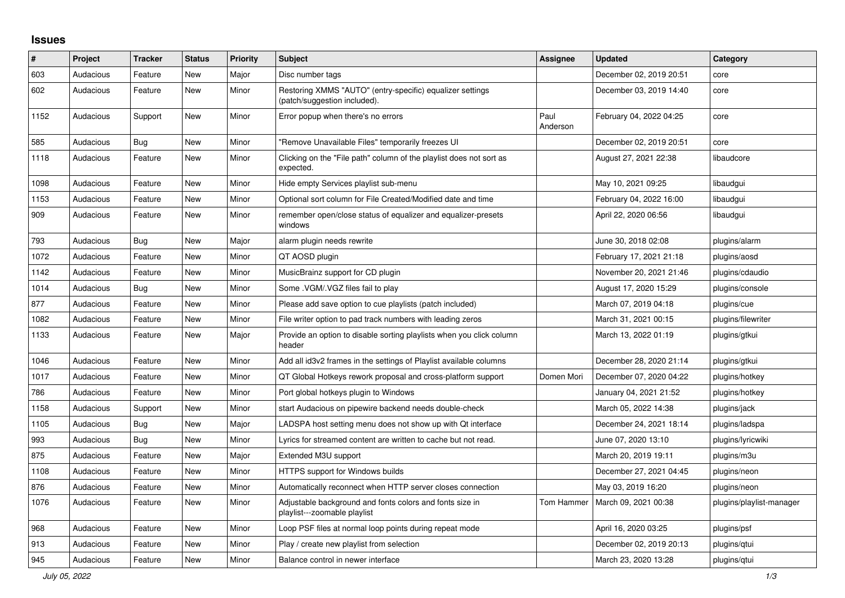## **Issues**

| $\#$ | Project   | <b>Tracker</b> | <b>Status</b> | <b>Priority</b> | <b>Subject</b>                                                                            | Assignee         | <b>Updated</b>          | Category                 |
|------|-----------|----------------|---------------|-----------------|-------------------------------------------------------------------------------------------|------------------|-------------------------|--------------------------|
| 603  | Audacious | Feature        | <b>New</b>    | Major           | Disc number tags                                                                          |                  | December 02, 2019 20:51 | core                     |
| 602  | Audacious | Feature        | New           | Minor           | Restoring XMMS "AUTO" (entry-specific) equalizer settings<br>(patch/suggestion included). |                  | December 03, 2019 14:40 | core                     |
| 1152 | Audacious | Support        | New           | Minor           | Error popup when there's no errors                                                        | Paul<br>Anderson | February 04, 2022 04:25 | core                     |
| 585  | Audacious | Bug            | <b>New</b>    | Minor           | "Remove Unavailable Files" temporarily freezes UI                                         |                  | December 02, 2019 20:51 | core                     |
| 1118 | Audacious | Feature        | New           | Minor           | Clicking on the "File path" column of the playlist does not sort as<br>expected.          |                  | August 27, 2021 22:38   | libaudcore               |
| 1098 | Audacious | Feature        | <b>New</b>    | Minor           | Hide empty Services playlist sub-menu                                                     |                  | May 10, 2021 09:25      | libaudgui                |
| 1153 | Audacious | Feature        | New           | Minor           | Optional sort column for File Created/Modified date and time                              |                  | February 04, 2022 16:00 | libaudgui                |
| 909  | Audacious | Feature        | New           | Minor           | remember open/close status of equalizer and equalizer-presets<br>windows                  |                  | April 22, 2020 06:56    | libaudgui                |
| 793  | Audacious | <b>Bug</b>     | <b>New</b>    | Major           | alarm plugin needs rewrite                                                                |                  | June 30, 2018 02:08     | plugins/alarm            |
| 1072 | Audacious | Feature        | New           | Minor           | QT AOSD plugin                                                                            |                  | February 17, 2021 21:18 | plugins/aosd             |
| 1142 | Audacious | Feature        | <b>New</b>    | Minor           | MusicBrainz support for CD plugin                                                         |                  | November 20, 2021 21:46 | plugins/cdaudio          |
| 1014 | Audacious | Bug            | New           | Minor           | Some .VGM/.VGZ files fail to play                                                         |                  | August 17, 2020 15:29   | plugins/console          |
| 877  | Audacious | Feature        | <b>New</b>    | Minor           | Please add save option to cue playlists (patch included)                                  |                  | March 07, 2019 04:18    | plugins/cue              |
| 1082 | Audacious | Feature        | New           | Minor           | File writer option to pad track numbers with leading zeros                                |                  | March 31, 2021 00:15    | plugins/filewriter       |
| 1133 | Audacious | Feature        | New           | Major           | Provide an option to disable sorting playlists when you click column<br>header            |                  | March 13, 2022 01:19    | plugins/gtkui            |
| 1046 | Audacious | Feature        | <b>New</b>    | Minor           | Add all id3v2 frames in the settings of Playlist available columns                        |                  | December 28, 2020 21:14 | plugins/gtkui            |
| 1017 | Audacious | Feature        | New           | Minor           | QT Global Hotkeys rework proposal and cross-platform support                              | Domen Mori       | December 07, 2020 04:22 | plugins/hotkey           |
| 786  | Audacious | Feature        | New           | Minor           | Port global hotkeys plugin to Windows                                                     |                  | January 04, 2021 21:52  | plugins/hotkey           |
| 1158 | Audacious | Support        | <b>New</b>    | Minor           | start Audacious on pipewire backend needs double-check                                    |                  | March 05, 2022 14:38    | plugins/jack             |
| 1105 | Audacious | Bug            | <b>New</b>    | Major           | LADSPA host setting menu does not show up with Qt interface                               |                  | December 24, 2021 18:14 | plugins/ladspa           |
| 993  | Audacious | <b>Bug</b>     | <b>New</b>    | Minor           | Lyrics for streamed content are written to cache but not read.                            |                  | June 07, 2020 13:10     | plugins/lyricwiki        |
| 875  | Audacious | Feature        | New           | Major           | Extended M3U support                                                                      |                  | March 20, 2019 19:11    | plugins/m3u              |
| 1108 | Audacious | Feature        | New           | Minor           | HTTPS support for Windows builds                                                          |                  | December 27, 2021 04:45 | plugins/neon             |
| 876  | Audacious | Feature        | New           | Minor           | Automatically reconnect when HTTP server closes connection                                |                  | May 03, 2019 16:20      | plugins/neon             |
| 1076 | Audacious | Feature        | New           | Minor           | Adjustable background and fonts colors and fonts size in<br>playlist---zoomable playlist  | Tom Hammer       | March 09, 2021 00:38    | plugins/playlist-manager |
| 968  | Audacious | Feature        | New           | Minor           | Loop PSF files at normal loop points during repeat mode                                   |                  | April 16, 2020 03:25    | plugins/psf              |
| 913  | Audacious | Feature        | <b>New</b>    | Minor           | Play / create new playlist from selection                                                 |                  | December 02, 2019 20:13 | plugins/gtui             |
| 945  | Audacious | Feature        | New           | Minor           | Balance control in newer interface                                                        |                  | March 23, 2020 13:28    | plugins/qtui             |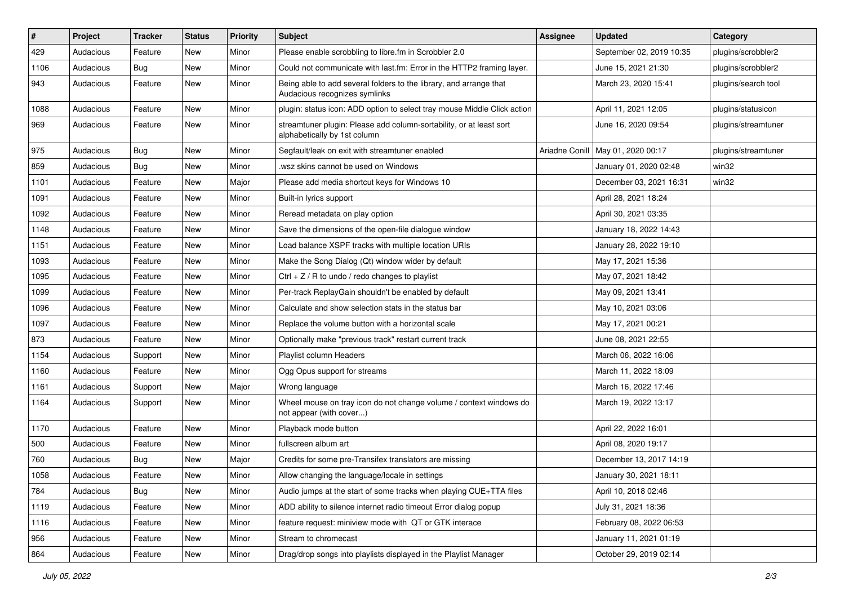| $\#$ | Project   | <b>Tracker</b> | <b>Status</b> | <b>Priority</b> | <b>Subject</b>                                                                                      | <b>Assignee</b> | <b>Updated</b>                      | Category            |
|------|-----------|----------------|---------------|-----------------|-----------------------------------------------------------------------------------------------------|-----------------|-------------------------------------|---------------------|
| 429  | Audacious | Feature        | New           | Minor           | Please enable scrobbling to libre.fm in Scrobbler 2.0                                               |                 | September 02, 2019 10:35            | plugins/scrobbler2  |
| 1106 | Audacious | Bug            | <b>New</b>    | Minor           | Could not communicate with last.fm: Error in the HTTP2 framing layer.                               |                 | June 15, 2021 21:30                 | plugins/scrobbler2  |
| 943  | Audacious | Feature        | New           | Minor           | Being able to add several folders to the library, and arrange that<br>Audacious recognizes symlinks |                 | March 23, 2020 15:41                | plugins/search tool |
| 1088 | Audacious | Feature        | <b>New</b>    | Minor           | plugin: status icon: ADD option to select tray mouse Middle Click action                            |                 | April 11, 2021 12:05                | plugins/statusicon  |
| 969  | Audacious | Feature        | New           | Minor           | streamtuner plugin: Please add column-sortability, or at least sort<br>alphabetically by 1st column |                 | June 16, 2020 09:54                 | plugins/streamtuner |
| 975  | Audacious | <b>Bug</b>     | New           | Minor           | Segfault/leak on exit with streamtuner enabled                                                      |                 | Ariadne Conill   May 01, 2020 00:17 | plugins/streamtuner |
| 859  | Audacious | Bug            | New           | Minor           | wsz skins cannot be used on Windows                                                                 |                 | January 01, 2020 02:48              | win32               |
| 1101 | Audacious | Feature        | <b>New</b>    | Major           | Please add media shortcut keys for Windows 10                                                       |                 | December 03, 2021 16:31             | win32               |
| 1091 | Audacious | Feature        | New           | Minor           | Built-in lyrics support                                                                             |                 | April 28, 2021 18:24                |                     |
| 1092 | Audacious | Feature        | New           | Minor           | Reread metadata on play option                                                                      |                 | April 30, 2021 03:35                |                     |
| 1148 | Audacious | Feature        | New           | Minor           | Save the dimensions of the open-file dialogue window                                                |                 | January 18, 2022 14:43              |                     |
| 1151 | Audacious | Feature        | New           | Minor           | Load balance XSPF tracks with multiple location URIs                                                |                 | January 28, 2022 19:10              |                     |
| 1093 | Audacious | Feature        | <b>New</b>    | Minor           | Make the Song Dialog (Qt) window wider by default                                                   |                 | May 17, 2021 15:36                  |                     |
| 1095 | Audacious | Feature        | New           | Minor           | Ctrl $+$ Z / R to undo / redo changes to playlist                                                   |                 | May 07, 2021 18:42                  |                     |
| 1099 | Audacious | Feature        | New           | Minor           | Per-track ReplayGain shouldn't be enabled by default                                                |                 | May 09, 2021 13:41                  |                     |
| 1096 | Audacious | Feature        | New           | Minor           | Calculate and show selection stats in the status bar                                                |                 | May 10, 2021 03:06                  |                     |
| 1097 | Audacious | Feature        | New           | Minor           | Replace the volume button with a horizontal scale                                                   |                 | May 17, 2021 00:21                  |                     |
| 873  | Audacious | Feature        | <b>New</b>    | Minor           | Optionally make "previous track" restart current track                                              |                 | June 08, 2021 22:55                 |                     |
| 1154 | Audacious | Support        | New           | Minor           | Playlist column Headers                                                                             |                 | March 06, 2022 16:06                |                     |
| 1160 | Audacious | Feature        | New           | Minor           | Ogg Opus support for streams                                                                        |                 | March 11, 2022 18:09                |                     |
| 1161 | Audacious | Support        | New           | Major           | Wrong language                                                                                      |                 | March 16, 2022 17:46                |                     |
| 1164 | Audacious | Support        | New           | Minor           | Wheel mouse on tray icon do not change volume / context windows do<br>not appear (with cover)       |                 | March 19, 2022 13:17                |                     |
| 1170 | Audacious | Feature        | New           | Minor           | Playback mode button                                                                                |                 | April 22, 2022 16:01                |                     |
| 500  | Audacious | Feature        | New           | Minor           | fullscreen album art                                                                                |                 | April 08, 2020 19:17                |                     |
| 760  | Audacious | <b>Bug</b>     | <b>New</b>    | Major           | Credits for some pre-Transifex translators are missing                                              |                 | December 13, 2017 14:19             |                     |
| 1058 | Audacious | Feature        | New           | Minor           | Allow changing the language/locale in settings                                                      |                 | January 30, 2021 18:11              |                     |
| 784  | Audacious | <b>Bug</b>     | New           | Minor           | Audio jumps at the start of some tracks when playing CUE+TTA files                                  |                 | April 10, 2018 02:46                |                     |
| 1119 | Audacious | Feature        | New           | Minor           | ADD ability to silence internet radio timeout Error dialog popup                                    |                 | July 31, 2021 18:36                 |                     |
| 1116 | Audacious | Feature        | New           | Minor           | feature request: miniview mode with QT or GTK interace                                              |                 | February 08, 2022 06:53             |                     |
| 956  | Audacious | Feature        | New           | Minor           | Stream to chromecast                                                                                |                 | January 11, 2021 01:19              |                     |
| 864  | Audacious | Feature        | New           | Minor           | Drag/drop songs into playlists displayed in the Playlist Manager                                    |                 | October 29, 2019 02:14              |                     |